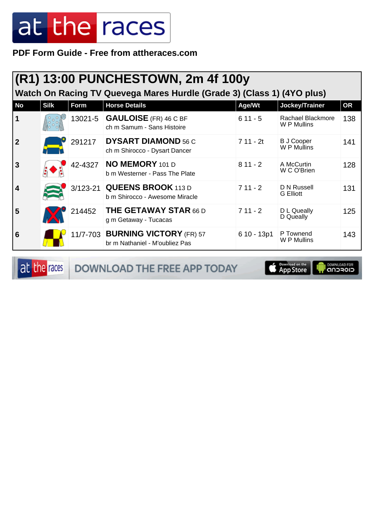**PDF Form Guide - Free from attheraces.com**

|              | (R1) 13:00 PUNCHESTOWN, 2m 4f 100y<br>Watch On Racing TV Quevega Mares Hurdle (Grade 3) (Class 1) (4YO plus) |         |                                                                    |              |                                  |           |  |  |
|--------------|--------------------------------------------------------------------------------------------------------------|---------|--------------------------------------------------------------------|--------------|----------------------------------|-----------|--|--|
| <b>No</b>    | <b>Silk</b>                                                                                                  | Form    | <b>Horse Details</b>                                               | Age/Wt       | Jockey/Trainer                   | <b>OR</b> |  |  |
| 1            |                                                                                                              |         | 13021-5 GAULOISE (FR) 46 C BF<br>ch m Samum - Sans Histoire        | $611 - 5$    | Rachael Blackmore<br>W P Mullins | 138       |  |  |
| $\mathbf{2}$ |                                                                                                              | 291217  | <b>DYSART DIAMOND 56 C</b><br>ch m Shirocco - Dysart Dancer        | $711 - 2t$   | <b>B J Cooper</b><br>W P Mullins | 141       |  |  |
| 3            |                                                                                                              | 42-4327 | NO MEMORY 101 D<br>b m Westerner - Pass The Plate                  | $811 - 2$    | A McCurtin<br>W C O'Brien        | 128       |  |  |
| 4            |                                                                                                              |         | 3/123-21 QUEENS BROOK 113 D<br>b m Shirocco - Awesome Miracle      | $711 - 2$    | D N Russell<br><b>G</b> Elliott  | 131       |  |  |
| 5            |                                                                                                              | 214452  | <b>THE GETAWAY STAR 66 D</b><br>g m Getaway - Tucacas              | $711 - 2$    | D L Queally<br>D Queally         | 125       |  |  |
| 6            |                                                                                                              |         | 11/7-703 BURNING VICTORY (FR) 57<br>br m Nathaniel - M'oubliez Pas | $610 - 13p1$ | P Townend<br>W P Mullins         | 143       |  |  |

at the races DOWNLOAD THE FREE APP TODAY

App Store **OWNLOAD FOR**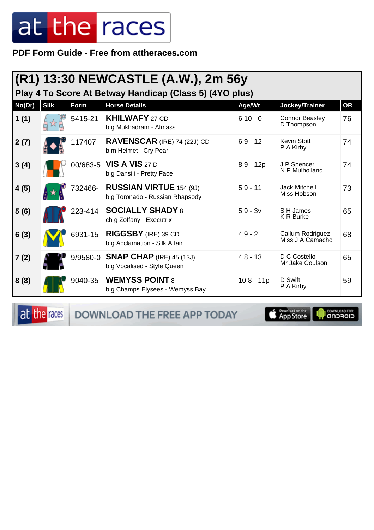PDF Form Guide - Free from attheraces.com

| (R1) 13:30 NEWCASTLE (A.W.), 2m 56y<br>Play 4 To Score At Betway Handicap (Class 5) (4YO plus) |             |             |                                                                   |             |                                      |           |  |
|------------------------------------------------------------------------------------------------|-------------|-------------|-------------------------------------------------------------------|-------------|--------------------------------------|-----------|--|
| No(Dr)                                                                                         | <b>Silk</b> | <b>Form</b> | <b>Horse Details</b>                                              | Age/Wt      | Jockey/Trainer                       | <b>OR</b> |  |
| 1(1)                                                                                           |             | 5415-21     | <b>KHILWAFY 27 CD</b><br>b g Mukhadram - Almass                   | $610 - 0$   | <b>Connor Beasley</b><br>D Thompson  | 76        |  |
| 2(7)                                                                                           |             | 117407      | <b>RAVENSCAR</b> (IRE) 74 (22J) CD<br>b m Helmet - Cry Pearl      | $69 - 12$   | Kevin Stott<br>P A Kirby             | 74        |  |
| 3(4)                                                                                           |             |             | 00/683-5 VIS A VIS 27 D<br>b g Dansili - Pretty Face              | $89 - 12p$  | J P Spencer<br>N P Mulholland        | 74        |  |
| 4(5)                                                                                           |             | 732466-     | <b>RUSSIAN VIRTUE 154 (9J)</b><br>b g Toronado - Russian Rhapsody | $59 - 11$   | <b>Jack Mitchell</b><br>Miss Hobson  | 73        |  |
| 5(6)                                                                                           |             | 223-414     | <b>SOCIALLY SHADY 8</b><br>ch g Zoffany - Executrix               | $59 - 3v$   | S H James<br><b>K R Burke</b>        | 65        |  |
| 6(3)                                                                                           |             | 6931-15     | RIGGSBY (IRE) 39 CD<br>b g Acclamation - Silk Affair              | $49 - 2$    | Callum Rodriguez<br>Miss J A Camacho | 68        |  |
| 7(2)                                                                                           |             | 9/9580-0    | <b>SNAP CHAP</b> (IRE) 45 (13J)<br>b g Vocalised - Style Queen    | $48 - 13$   | D C Costello<br>Mr Jake Coulson      | 65        |  |
| 8(8)                                                                                           |             | 9040-35     | <b>WEMYSS POINT 8</b><br>b g Champs Elysees - Wemyss Bay          | $108 - 11p$ | D Swift<br>P A Kirby                 | 59        |  |

at the races

DOWNLOAD THE FREE APP TODAY

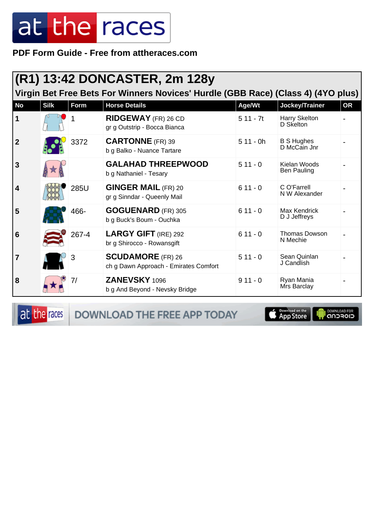PDF Form Guide - Free from attheraces.com

|                                                                                  |             |             | (R1) 13:42 DONCASTER, 2m 128y                                     |            |                                    |           |  |  |
|----------------------------------------------------------------------------------|-------------|-------------|-------------------------------------------------------------------|------------|------------------------------------|-----------|--|--|
| Virgin Bet Free Bets For Winners Novices' Hurdle (GBB Race) (Class 4) (4YO plus) |             |             |                                                                   |            |                                    |           |  |  |
| <b>No</b>                                                                        | <b>Silk</b> | <b>Form</b> | <b>Horse Details</b>                                              | Age/Wt     | Jockey/Trainer                     | <b>OR</b> |  |  |
| $\mathbf 1$                                                                      |             |             | <b>RIDGEWAY</b> (FR) 26 CD<br>gr g Outstrip - Bocca Bianca        | $511 - 7t$ | Harry Skelton<br>D Skelton         |           |  |  |
| $\overline{2}$                                                                   |             | 3372        | <b>CARTONNE</b> (FR) 39<br>b g Balko - Nuance Tartare             | $511 - 0h$ | <b>B S Hughes</b><br>D McCain Jnr  |           |  |  |
| 3                                                                                |             |             | <b>GALAHAD THREEPWOOD</b><br>b g Nathaniel - Tesary               | $511 - 0$  | Kielan Woods<br><b>Ben Pauling</b> |           |  |  |
| 4                                                                                |             | 285U        | <b>GINGER MAIL (FR) 20</b><br>gr g Sinndar - Queenly Mail         | $611 - 0$  | C O'Farrell<br>N W Alexander       |           |  |  |
| 5                                                                                |             | 466-        | <b>GOGUENARD</b> (FR) 305<br>b g Buck's Boum - Ouchka             | $611 - 0$  | Max Kendrick<br>D J Jeffreys       |           |  |  |
| 6                                                                                |             | 267-4       | <b>LARGY GIFT (IRE) 292</b><br>br g Shirocco - Rowansgift         | $611 - 0$  | Thomas Dowson<br>N Mechie          |           |  |  |
|                                                                                  |             | 3           | <b>SCUDAMORE</b> (FR) 26<br>ch g Dawn Approach - Emirates Comfort | $511 - 0$  | Sean Quinlan<br>J Candlish         |           |  |  |
| 8                                                                                |             | 7/          | ZANEVSKY 1096<br>b g And Beyond - Nevsky Bridge                   | $911 - 0$  | Ryan Mania<br>Mrs Barclay          |           |  |  |

at the races

DOWNLOAD THE FREE APP TODAY

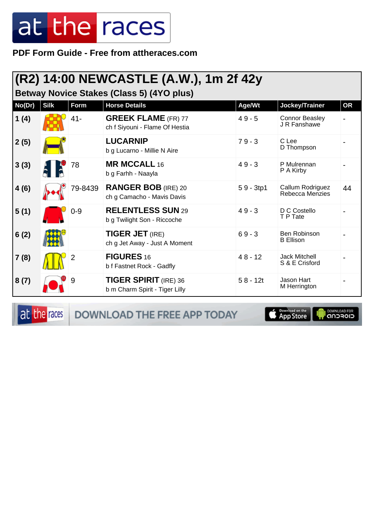**PDF Form Guide - Free from attheraces.com**

#### **(R2) 14:00 NEWCASTLE (A.W.), 1m 2f 42y**

**Betway Novice Stakes (Class 5) (4YO plus)**

| No(Dr) | <b>Silk</b> | Form    | <b>Horse Details</b>                                           | Age/Wt      | Jockey/Trainer                         | <b>OR</b> |
|--------|-------------|---------|----------------------------------------------------------------|-------------|----------------------------------------|-----------|
| 1(4)   |             | $41 -$  | <b>GREEK FLAME</b> (FR) 77<br>ch f Siyouni - Flame Of Hestia   | $49 - 5$    | <b>Connor Beasley</b><br>J R Fanshawe  |           |
| 2(5)   |             |         | <b>LUCARNIP</b><br>b g Lucarno - Millie N Aire                 | $79 - 3$    | C Lee<br>D Thompson                    |           |
| 3(3)   |             | 78      | <b>MR MCCALL 16</b><br>b g Farhh - Naayla                      | $49 - 3$    | P Mulrennan<br>P A Kirby               |           |
| 4(6)   |             | 79-8439 | <b>RANGER BOB</b> (IRE) 20<br>ch g Camacho - Mavis Davis       | $59 - 3tp1$ | Callum Rodriguez<br>Rebecca Menzies    | 44        |
| 5(1)   |             | $0 - 9$ | <b>RELENTLESS SUN 29</b><br>b g Twilight Son - Riccoche        | $49 - 3$    | D C Costello<br>T P Tate               |           |
| 6(2)   |             |         | <b>TIGER JET (IRE)</b><br>ch g Jet Away - Just A Moment        | $69 - 3$    | Ben Robinson<br><b>B</b> Ellison       |           |
| 7(8)   |             |         | <b>FIGURES 16</b><br>b f Fastnet Rock - Gadfly                 | $48 - 12$   | <b>Jack Mitchell</b><br>S & E Crisford |           |
| 8(7)   |             | 9       | <b>TIGER SPIRIT</b> (IRE) 36<br>b m Charm Spirit - Tiger Lilly | $58 - 12t$  | Jason Hart<br>M Herrington             |           |

at the races

DOWNLOAD THE FREE APP TODAY

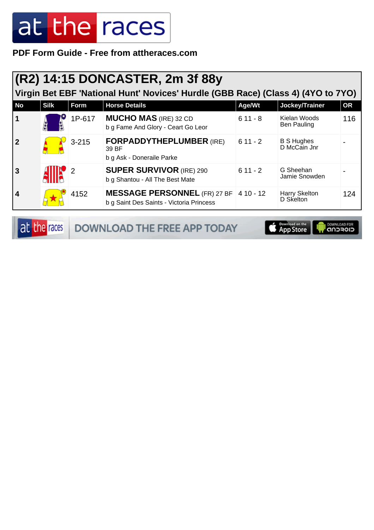PDF Form Guide - Free from attheraces.com

|           | (R2) 14:15 DONCASTER, 2m 3f 88y<br>Virgin Bet EBF 'National Hunt' Novices' Hurdle (GBB Race) (Class 4) (4YO to 7YO) |           |                                                                                    |           |                                    |           |  |  |  |
|-----------|---------------------------------------------------------------------------------------------------------------------|-----------|------------------------------------------------------------------------------------|-----------|------------------------------------|-----------|--|--|--|
| <b>No</b> | <b>Silk</b>                                                                                                         | Form      | <b>Horse Details</b>                                                               | Age/Wt    | Jockey/Trainer                     | <b>OR</b> |  |  |  |
|           |                                                                                                                     | 1P-617    | <b>MUCHO MAS</b> (IRE) 32 CD<br>b g Fame And Glory - Ceart Go Leor                 | $611 - 8$ | Kielan Woods<br><b>Ben Pauling</b> | 116       |  |  |  |
|           |                                                                                                                     | $3 - 215$ | <b>FORPADDYTHEPLUMBER (IRE)</b><br>39 BF<br>b g Ask - Doneraile Parke              | $611 - 2$ | <b>B S Hughes</b><br>D McCain Jnr  |           |  |  |  |
| 3         |                                                                                                                     |           | <b>SUPER SURVIVOR (IRE) 290</b><br>b g Shantou - All The Best Mate                 | $611 - 2$ | G Sheehan<br>Jamie Snowden         |           |  |  |  |
| 4         |                                                                                                                     | 4152      | MESSAGE PERSONNEL (FR) 27 BF 4 10 - 12<br>b g Saint Des Saints - Victoria Princess |           | Harry Skelton<br>D Skelton         | 124       |  |  |  |

at the races

DOWNLOAD THE FREE APP TODAY

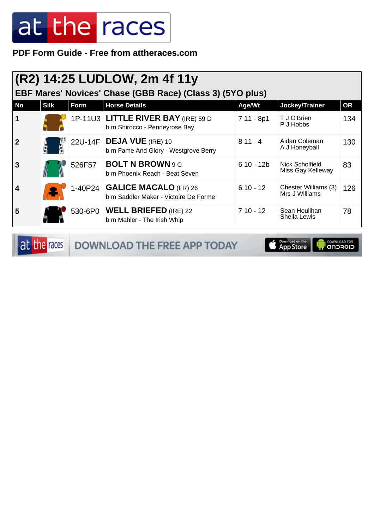**PDF Form Guide - Free from attheraces.com**

|           | (R2) 14:25 LUDLOW, 2m 4f 11y |        |                                                                        |             |                                        |           |  |  |
|-----------|------------------------------|--------|------------------------------------------------------------------------|-------------|----------------------------------------|-----------|--|--|
|           |                              |        | EBF Mares' Novices' Chase (GBB Race) (Class 3) (5YO plus)              |             |                                        |           |  |  |
| <b>No</b> | <b>Silk</b>                  | Form   | <b>Horse Details</b>                                                   | Age/Wt      | Jockey/Trainer                         | <b>OR</b> |  |  |
|           |                              |        | 1P-11U3 LITTLE RIVER BAY (IRE) 59 D<br>b m Shirocco - Penneyrose Bay   | 7 11 - 8p1  | T J O'Brien<br>P J Hobbs               | 134       |  |  |
| 2         |                              |        | 22U-14F DEJA VUE (IRE) 10<br>b m Fame And Glory - Westgrove Berry      | $811 - 4$   | Aidan Coleman<br>A J Honeyball         | 130       |  |  |
| 3         |                              | 526F57 | <b>BOLT N BROWN 9 C</b><br>b m Phoenix Reach - Beat Seven              | $610 - 12b$ | Nick Scholfield<br>Miss Gay Kelleway   | 83        |  |  |
| 4         |                              |        | 1-40P24 GALICE MACALO (FR) 26<br>b m Saddler Maker - Victoire De Forme | $610 - 12$  | Chester Williams (3)<br>Mrs J Williams | 126       |  |  |
| 5         |                              |        | 530-6P0   WELL BRIEFED (IRE) 22<br>b m Mahler - The Irish Whip         | $710 - 12$  | Sean Houlihan<br>Sheila Lewis          | 78        |  |  |

at the races DOWNLOAD THE FREE APP TODAY

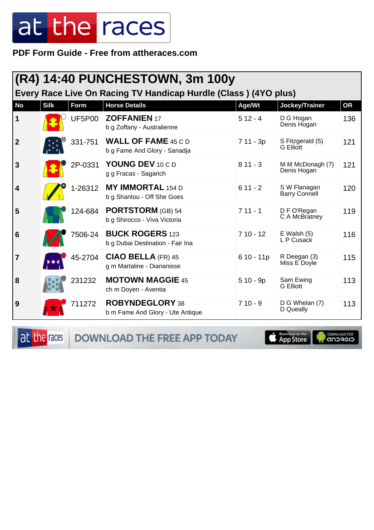**PDF Form Guide - Free from attheraces.com**

|              | (R4) 14:40 PUNCHESTOWN, 3m 100y<br>Every Race Live On Racing TV Handicap Hurdle (Class) (4YO plus) |         |                                                            |             |                                      |           |  |  |
|--------------|----------------------------------------------------------------------------------------------------|---------|------------------------------------------------------------|-------------|--------------------------------------|-----------|--|--|
| <b>No</b>    | <b>Silk</b>                                                                                        | Form    | <b>Horse Details</b>                                       | Age/Wt      | Jockey/Trainer                       | <b>OR</b> |  |  |
| 1            |                                                                                                    | UF5P00  | <b>ZOFFANIEN 17</b><br>b g Zoffany - Australienne          | $512 - 4$   | D G Hogan<br>Denis Hogan             | 136       |  |  |
| $\mathbf{2}$ |                                                                                                    | 331-751 | <b>WALL OF FAME 45 C D</b><br>b g Fame And Glory - Sanadja | $711 - 3p$  | S Fitzgerald (5)<br><b>G</b> Elliott | 121       |  |  |
| 3            |                                                                                                    | 2P-0331 | YOUNG DEV 10 C D<br>g g Fracas - Sagarich                  | $811 - 3$   | M M McDonagh (7)<br>Denis Hogan      | 121       |  |  |
| 4            |                                                                                                    | 1-26312 | <b>MY IMMORTAL 154 D</b><br>b g Shantou - Off She Goes     | $611 - 2$   | S W Flanagan<br><b>Barry Connell</b> | 120       |  |  |
| 5            |                                                                                                    | 124-684 | <b>PORTSTORM</b> (GB) 54<br>b g Shirocco - Viva Victoria   | $711 - 1$   | D F O'Regan<br>C A McBratney         | 119       |  |  |
| 6            |                                                                                                    | 7506-24 | <b>BUCK ROGERS 123</b><br>b g Dubai Destination - Fair Ina | $710 - 12$  | $E$ Walsh $(5)$<br>L P Cusack        | 116       |  |  |
| 7            |                                                                                                    | 45-2704 | $CIAO$ BELLA (FR) 45<br>g m Martaline - Diananisse         | $610 - 11p$ | R Deegan (3)<br>Miss E Doyle         | 115       |  |  |
| 8            |                                                                                                    | 231232  | <b>MOTOWN MAGGIE 45</b><br>ch m Doyen - Aventia            | $510 - 9p$  | Sam Ewing<br><b>G</b> Elliott        | 113       |  |  |
| 9            |                                                                                                    | 711272  | ROBYNDEGLORY 38<br>b m Fame And Glory - Ute Antique        | $710 - 9$   | D G Whelan (7)<br>D Queally          | 113       |  |  |

at the races DOWNLOAD THE FREE APP TODAY

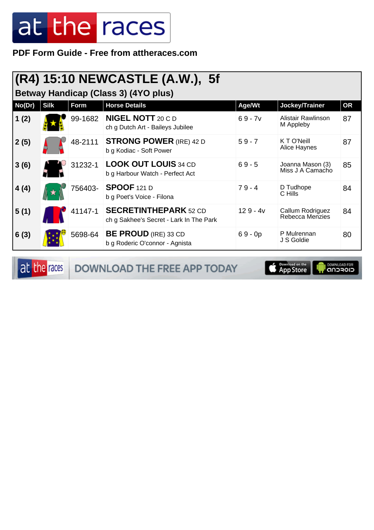**PDF Form Guide - Free from attheraces.com**

|                                      | (R4) 15:10 NEWCASTLE (A.W.), 5f |         |                                                                         |            |                                      |           |  |  |  |
|--------------------------------------|---------------------------------|---------|-------------------------------------------------------------------------|------------|--------------------------------------|-----------|--|--|--|
| Betway Handicap (Class 3) (4YO plus) |                                 |         |                                                                         |            |                                      |           |  |  |  |
| No(Dr)                               | <b>Silk</b>                     | Form    | <b>Horse Details</b>                                                    | Age/Wt     | Jockey/Trainer                       | <b>OR</b> |  |  |  |
| 1(2)                                 |                                 | 99-1682 | <b>NIGEL NOTT 20 C D</b><br>ch g Dutch Art - Baileys Jubilee            | $69 - 7v$  | Alistair Rawlinson<br>M Appleby      | 87        |  |  |  |
| 2(5)                                 |                                 | 48-2111 | <b>STRONG POWER (IRE) 42 D</b><br>b g Kodiac - Soft Power               | $59 - 7$   | K T O'Neill<br>Alice Haynes          | 87        |  |  |  |
| 3(6)                                 |                                 | 31232-1 | <b>LOOK OUT LOUIS 34 CD</b><br>b g Harbour Watch - Perfect Act          | $69 - 5$   | Joanna Mason (3)<br>Miss J A Camacho | 85        |  |  |  |
| 4(4)                                 |                                 | 756403- | <b>SPOOF 121 D</b><br>b g Poet's Voice - Filona                         | $79 - 4$   | D Tudhope<br>C Hills                 | 84        |  |  |  |
| 5(1)                                 |                                 | 41147-1 | <b>SECRETINTHEPARK 52 CD</b><br>ch g Sakhee's Secret - Lark In The Park | $129 - 4v$ | Callum Rodriguez<br>Rebecca Menzies  | 84        |  |  |  |
| 6(3)                                 |                                 | 5698-64 | <b>BE PROUD</b> (IRE) 33 CD<br>b g Roderic O'connor - Agnista           | $69 - 0p$  | P Mulrennan<br>J S Goldie            | 80        |  |  |  |

at the races DOWNLOAD THE FREE APP TODAY

App Store **I** DOWNLOAD FOR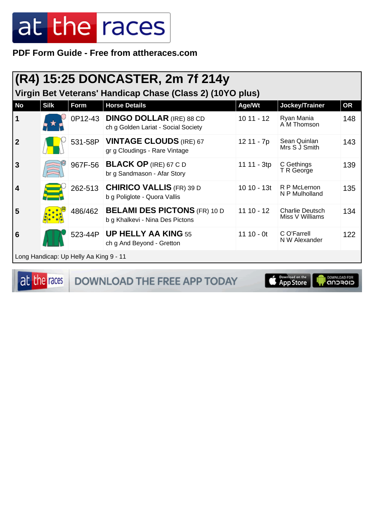PDF Form Guide - Free from attheraces.com

|                         | $(R4)$ 15:25 DONCASTER, 2m 7f 214y<br>Virgin Bet Veterans' Handicap Chase (Class 2) (10YO plus) |                                        |                                                                         |              |                                           |           |  |  |
|-------------------------|-------------------------------------------------------------------------------------------------|----------------------------------------|-------------------------------------------------------------------------|--------------|-------------------------------------------|-----------|--|--|
| <b>No</b>               | <b>Silk</b>                                                                                     | Form                                   | <b>Horse Details</b>                                                    | Age/Wt       | Jockey/Trainer                            | <b>OR</b> |  |  |
| $\mathbf 1$             |                                                                                                 |                                        | 0P12-43 DINGO DOLLAR (IRE) 88 CD<br>ch g Golden Lariat - Social Society | $1011 - 12$  | Ryan Mania<br>A M Thomson                 | 148       |  |  |
| $\overline{2}$          |                                                                                                 | 531-58P                                | <b>VINTAGE CLOUDS (IRE) 67</b><br>gr g Cloudings - Rare Vintage         | 12 11 - 7p   | Sean Quinlan<br>Mrs S J Smith             | 143       |  |  |
| $\overline{\mathbf{3}}$ |                                                                                                 | 967F-56                                | <b>BLACK OP (IRE) 67 C D</b><br>br g Sandmason - Afar Story             | 11 11 - 3tp  | C Gethings<br>T R George                  | 139       |  |  |
| $\overline{\mathbf{4}}$ |                                                                                                 | 262-513                                | <b>CHIRICO VALLIS (FR) 39 D</b><br>b g Poliglote - Quora Vallis         | 10 10 - 13t  | R P McLernon<br>N P Mulholland            | 135       |  |  |
| 5                       |                                                                                                 | 486/462                                | <b>BELAMI DES PICTONS (FR) 10 D</b><br>b g Khalkevi - Nina Des Pictons  | $11 10 - 12$ | <b>Charlie Deutsch</b><br>Miss V Williams | 134       |  |  |
| 6                       |                                                                                                 | 523-44P                                | <b>UP HELLY AA KING 55</b><br>ch g And Beyond - Gretton                 | 11 10 - 0t   | C O'Farrell<br>N W Alexander              | 122       |  |  |
|                         |                                                                                                 | Long Handicap: Up Helly Aa King 9 - 11 |                                                                         |              |                                           |           |  |  |

at the races

DOWNLOAD THE FREE APP TODAY

App Store **I DOWNLOAD FOR**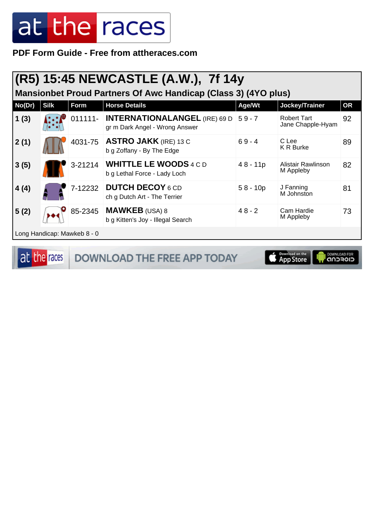PDF Form Guide - Free from attheraces.com

|                                                                       |             |                             | (R5) 15:45 NEWCASTLE (A.W.), 7f 14y                                    |            |                                         |           |  |  |
|-----------------------------------------------------------------------|-------------|-----------------------------|------------------------------------------------------------------------|------------|-----------------------------------------|-----------|--|--|
| <b>Mansionbet Proud Partners Of Awc Handicap (Class 3) (4YO plus)</b> |             |                             |                                                                        |            |                                         |           |  |  |
| No(Dr)                                                                | <b>Silk</b> | Form                        | <b>Horse Details</b>                                                   | Age/Wt     | Jockey/Trainer                          | <b>OR</b> |  |  |
| 1(3)                                                                  |             | 011111-                     | <b>INTERNATIONALANGEL (IRE) 69 D</b><br>gr m Dark Angel - Wrong Answer | $59 - 7$   | <b>Robert Tart</b><br>Jane Chapple-Hyam | 92        |  |  |
| 2(1)                                                                  |             | 4031-75                     | <b>ASTRO JAKK (IRE) 13 C</b><br>b g Zoffany - By The Edge              | $69 - 4$   | C Lee<br><b>K R Burke</b>               | 89        |  |  |
| 3(5)                                                                  |             | 3-21214                     | <b>WHITTLE LE WOODS 4 C D</b><br>b g Lethal Force - Lady Loch          | $48 - 11p$ | Alistair Rawlinson<br>M Appleby         | 82        |  |  |
| 4(4)                                                                  |             | 7-12232                     | <b>DUTCH DECOY 6 CD</b><br>ch g Dutch Art - The Terrier                | $58 - 10p$ | J Fanning<br>M Johnston                 | 81        |  |  |
| 5(2)                                                                  |             | 85-2345                     | <b>MAWKEB</b> (USA) 8<br>b g Kitten's Joy - Illegal Search             | $48 - 2$   | Cam Hardie<br>M Appleby                 | 73        |  |  |
|                                                                       |             | Long Handicap: Mawkeb 8 - 0 |                                                                        |            |                                         |           |  |  |

at the races DOWNLOAD THE FREE APP TODAY

App Store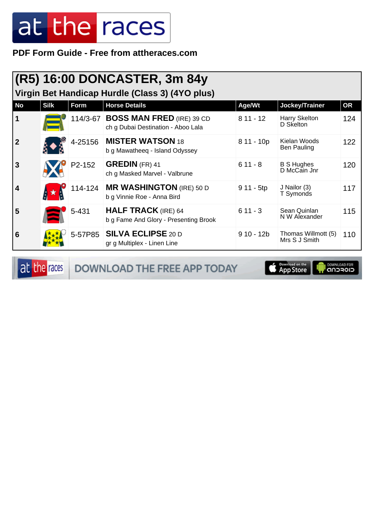**PDF Form Guide - Free from attheraces.com**

|                | (R5) 16:00 DONCASTER, 3m 84y<br>Virgin Bet Handicap Hurdle (Class 3) (4YO plus) |         |                                                                          |             |                                      |           |  |  |
|----------------|---------------------------------------------------------------------------------|---------|--------------------------------------------------------------------------|-------------|--------------------------------------|-----------|--|--|
| <b>No</b>      | <b>Silk</b>                                                                     | Form    | <b>Horse Details</b>                                                     | Age/Wt      | Jockey/Trainer                       | <b>OR</b> |  |  |
| $\mathbf 1$    |                                                                                 |         | 114/3-67 BOSS MAN FRED (IRE) 39 CD<br>ch g Dubai Destination - Aboo Lala | $811 - 12$  | Harry Skelton<br>D Skelton           | 124       |  |  |
| $\overline{2}$ |                                                                                 | 4-25156 | <b>MISTER WATSON 18</b><br>b g Mawatheeq - Island Odyssey                | $811 - 10p$ | Kielan Woods<br>Ben Pauling          | 122       |  |  |
| $\overline{3}$ |                                                                                 | P2-152  | <b>GREDIN</b> (FR) 41<br>ch g Masked Marvel - Valbrune                   | $611 - 8$   | <b>B S Hughes</b><br>D McCain Jnr    | 120       |  |  |
| 4              |                                                                                 | 114-124 | <b>MR WASHINGTON</b> (IRE) 50 D<br>b g Vinnie Roe - Anna Bird            | $911 - 5tp$ | J Nailor (3)<br>T Symonds            | 117       |  |  |
| 5              |                                                                                 | 5-431   | <b>HALF TRACK</b> (IRE) 64<br>b g Fame And Glory - Presenting Brook      | $611 - 3$   | Sean Quinlan<br>N W Alexander        | 115       |  |  |
| 6              |                                                                                 | 5-57P85 | <b>SILVA ECLIPSE 20 D</b><br>gr g Multiplex - Linen Line                 | $910 - 12b$ | Thomas Willmott (5)<br>Mrs S J Smith | 110       |  |  |

at the races DOWNLOAD THE FREE APP TODAY

App Store **OWNLOAD FOR**